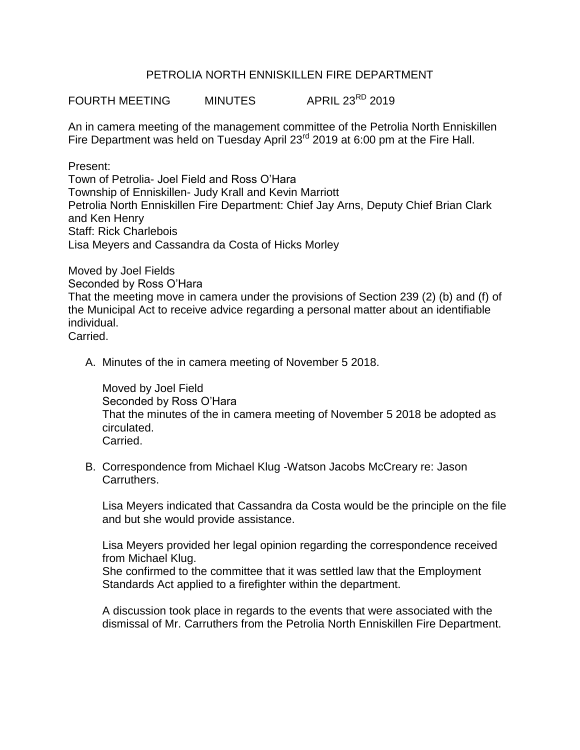## PETROLIA NORTH ENNISKILLEN FIRE DEPARTMENT

FOURTH MEETING MINUTES APRIL 23<sup>RD</sup> 2019

An in camera meeting of the management committee of the Petrolia North Enniskillen Fire Department was held on Tuesday April 23<sup>rd</sup> 2019 at 6:00 pm at the Fire Hall.

Present: Town of Petrolia- Joel Field and Ross O'Hara Township of Enniskillen- Judy Krall and Kevin Marriott Petrolia North Enniskillen Fire Department: Chief Jay Arns, Deputy Chief Brian Clark and Ken Henry Staff: Rick Charlebois Lisa Meyers and Cassandra da Costa of Hicks Morley

Moved by Joel Fields Seconded by Ross O'Hara That the meeting move in camera under the provisions of Section 239 (2) (b) and (f) of the Municipal Act to receive advice regarding a personal matter about an identifiable individual. Carried.

A. Minutes of the in camera meeting of November 5 2018.

Moved by Joel Field Seconded by Ross O'Hara That the minutes of the in camera meeting of November 5 2018 be adopted as circulated. Carried.

B. Correspondence from Michael Klug -Watson Jacobs McCreary re: Jason Carruthers.

Lisa Meyers indicated that Cassandra da Costa would be the principle on the file and but she would provide assistance.

Lisa Meyers provided her legal opinion regarding the correspondence received from Michael Klug. She confirmed to the committee that it was settled law that the Employment Standards Act applied to a firefighter within the department.

A discussion took place in regards to the events that were associated with the dismissal of Mr. Carruthers from the Petrolia North Enniskillen Fire Department.